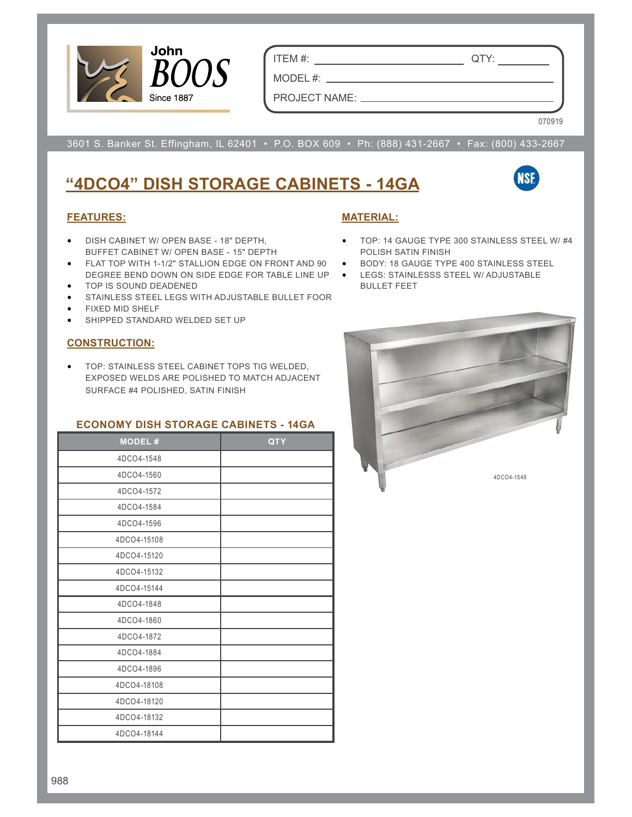

ITEM #: QTY:

MODEL #:

PROJECT NAME:

070919

3601 S. Banker St. Effingham, IL 62401 • P.O. BOX 609 • Ph: (888) 431-2667 • Fax: (800) 433-2667

## **"4DCO4" DISH STORAGE CABINETS - 14GA**

# **NSE**

#### **FEATURES:**

- DISH CABINET W/ OPEN BASE 18" DEPTH, BUFFET CABINET W/ OPEN BASE - 15" DEPTH
- FLAT TOP WITH 1-1/2" STALLION EDGE ON FRONT AND 90 . BODY: 18 GAUGE TYPE 400 STAINLESS STEEL DEGREE BEND DOWN ON SIDE EDGE FOR TABLE LINE UP • LEGS: STAINLESSS STEEL W/ ADJUSTABLE
- TOP IS SOUND DEADENED
- STAINLESS STEEL LEGS WITH ADJUSTABLE BULLET FOOR
- FIXED MID SHELF
- SHIPPED STANDARD WELDED SET UP

#### **CONSTRUCTION:**

• TOP: STAINLESS STEEL CABINET TOPS TIG WELDED, EXPOSED WELDS ARE POLISHED TO MATCH ADJACENT SURFACE #4 POLISHED, SATIN FINISH

#### **ECONOMY DISH STORAGE CABINETS - 14GA**

| <b>MODEL#</b> | <b>QTY</b> |
|---------------|------------|
| 4DCO4-1548    |            |
| 4DCO4-1560    |            |
| 4DCO4-1572    |            |
| 4DCO4-1584    |            |
| 4DCO4-1596    |            |
| 4DCO4-15108   |            |
| 4DCO4-15120   |            |
| 4DCO4-15132   |            |
| 4DCO4-15144   |            |
| 4DCO4-1848    |            |
| 4DCO4-1860    |            |
| 4DCO4-1872    |            |
| 4DCO4-1884    |            |
| 4DCO4-1896    |            |
| 4DCO4-18108   |            |
| 4DCO4-18120   |            |
| 4DCO4-18132   |            |
| 4DCO4-18144   |            |

#### **MATERIAL:**

- TOP: 14 GAUGE TYPE 300 STAINLESS STEEL W/ #4 POLISH SATIN FINISH
- 
- BULLET FEET